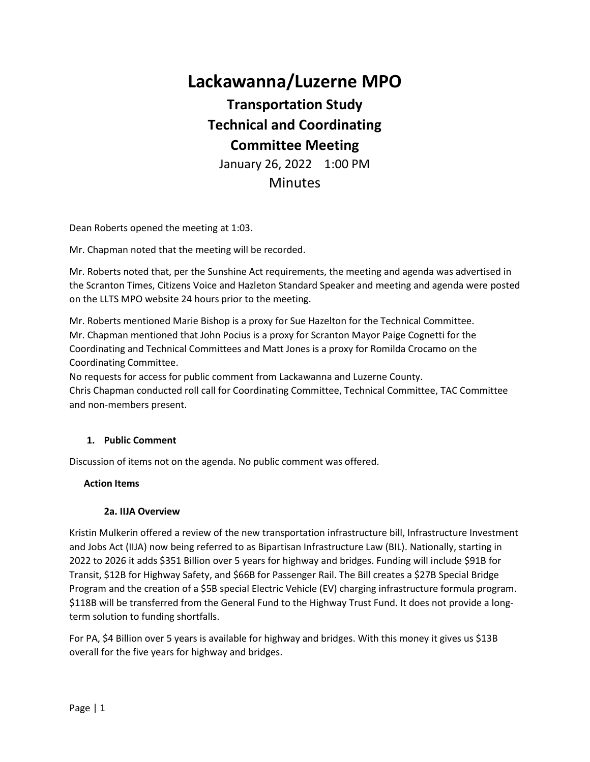# **Lackawanna/Luzerne MPO**

# **Transportation Study Technical and Coordinating Committee Meeting**

January 26, 2022 1:00 PM

**Minutes** 

Dean Roberts opened the meeting at 1:03.

Mr. Chapman noted that the meeting will be recorded.

Mr. Roberts noted that, per the Sunshine Act requirements, the meeting and agenda was advertised in the Scranton Times, Citizens Voice and Hazleton Standard Speaker and meeting and agenda were posted on the LLTS MPO website 24 hours prior to the meeting.

Mr. Roberts mentioned Marie Bishop is a proxy for Sue Hazelton for the Technical Committee. Mr. Chapman mentioned that John Pocius is a proxy for Scranton Mayor Paige Cognetti for the Coordinating and Technical Committees and Matt Jones is a proxy for Romilda Crocamo on the Coordinating Committee.

No requests for access for public comment from Lackawanna and Luzerne County. Chris Chapman conducted roll call for Coordinating Committee, Technical Committee, TAC Committee and non-members present.

#### **1. Public Comment**

Discussion of items not on the agenda. No public comment was offered.

#### **Action Items**

#### **2a. IIJA Overview**

Kristin Mulkerin offered a review of the new transportation infrastructure bill, Infrastructure Investment and Jobs Act (IIJA) now being referred to as Bipartisan Infrastructure Law (BIL). Nationally, starting in 2022 to 2026 it adds \$351 Billion over 5 years for highway and bridges. Funding will include \$91B for Transit, \$12B for Highway Safety, and \$66B for Passenger Rail. The Bill creates a \$27B Special Bridge Program and the creation of a \$5B special Electric Vehicle (EV) charging infrastructure formula program. \$118B will be transferred from the General Fund to the Highway Trust Fund. It does not provide a longterm solution to funding shortfalls.

For PA, \$4 Billion over 5 years is available for highway and bridges. With this money it gives us \$13B overall for the five years for highway and bridges.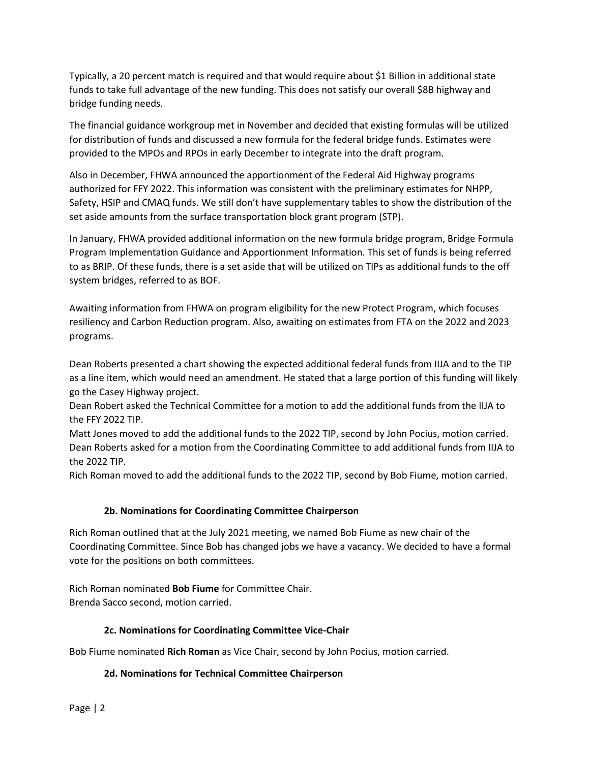Typically, a 20 percent match is required and that would require about \$1 Billion in additional state funds to take full advantage of the new funding. This does not satisfy our overall \$8B highway and bridge funding needs.

The financial guidance workgroup met in November and decided that existing formulas will be utilized for distribution of funds and discussed a new formula for the federal bridge funds. Estimates were provided to the MPOs and RPOs in early December to integrate into the draft program.

Also in December, FHWA announced the apportionment of the Federal Aid Highway programs authorized for FFY 2022. This information was consistent with the preliminary estimates for NHPP, Safety, HSIP and CMAQ funds. We still don't have supplementary tables to show the distribution of the set aside amounts from the surface transportation block grant program (STP).

In January, FHWA provided additional information on the new formula bridge program, Bridge Formula Program Implementation Guidance and Apportionment Information. This set of funds is being referred to as BRIP. Of these funds, there is a set aside that will be utilized on TIPs as additional funds to the off system bridges, referred to as BOF.

Awaiting information from FHWA on program eligibility for the new Protect Program, which focuses resiliency and Carbon Reduction program. Also, awaiting on estimates from FTA on the 2022 and 2023 programs.

Dean Roberts presented a chart showing the expected additional federal funds from IIJA and to the TIP as a line item, which would need an amendment. He stated that a large portion of this funding will likely go the Casey Highway project.

Dean Robert asked the Technical Committee for a motion to add the additional funds from the IIJA to the FFY 2022 TIP.

Matt Jones moved to add the additional funds to the 2022 TIP, second by John Pocius, motion carried. Dean Roberts asked for a motion from the Coordinating Committee to add additional funds from IIJA to the 2022 TIP.

Rich Roman moved to add the additional funds to the 2022 TIP, second by Bob Fiume, motion carried.

# **2b. Nominations for Coordinating Committee Chairperson**

Rich Roman outlined that at the July 2021 meeting, we named Bob Fiume as new chair of the Coordinating Committee. Since Bob has changed jobs we have a vacancy. We decided to have a formal vote for the positions on both committees.

Rich Roman nominated **Bob Fiume** for Committee Chair. Brenda Sacco second, motion carried.

# **2c. Nominations for Coordinating Committee Vice-Chair**

Bob Fiume nominated **Rich Roman** as Vice Chair, second by John Pocius, motion carried.

# **2d. Nominations for Technical Committee Chairperson**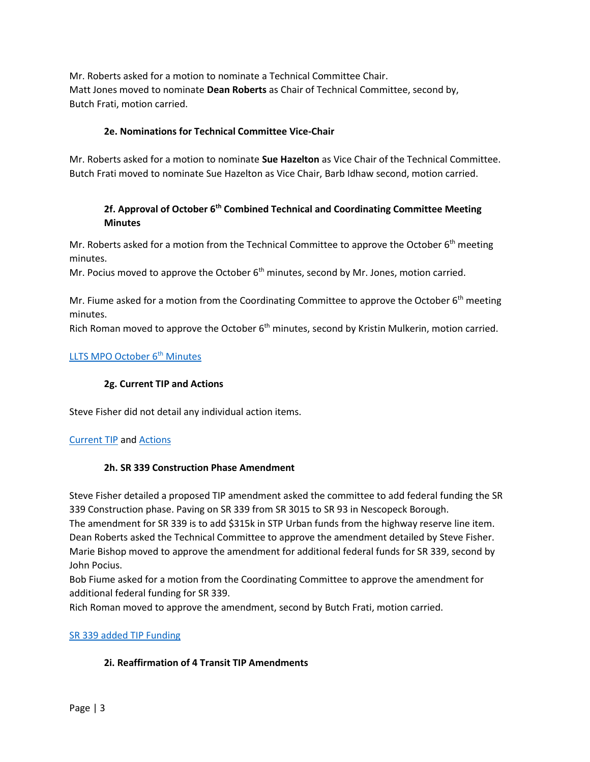Mr. Roberts asked for a motion to nominate a Technical Committee Chair. Matt Jones moved to nominate **Dean Roberts** as Chair of Technical Committee, second by, Butch Frati, motion carried.

## **2e. Nominations for Technical Committee Vice-Chair**

Mr. Roberts asked for a motion to nominate **Sue Hazelton** as Vice Chair of the Technical Committee. Butch Frati moved to nominate Sue Hazelton as Vice Chair, Barb Idhaw second, motion carried.

# **2f. Approval of October 6th Combined Technical and Coordinating Committee Meeting Minutes**

Mr. Roberts asked for a motion from the Technical Committee to approve the October  $6<sup>th</sup>$  meeting minutes.

Mr. Pocius moved to approve the October  $6<sup>th</sup>$  minutes, second by Mr. Jones, motion carried.

Mr. Fiume asked for a motion from the Coordinating Committee to approve the October  $6<sup>th</sup>$  meeting minutes.

Rich Roman moved to approve the October 6<sup>th</sup> minutes, second by Kristin Mulkerin, motion carried.

## [LLTS MPO October 6](https://www.lltsmpo.com/wp-content/uploads/2022/01/LLTS-MPO-Meeting-Minutes-10-6-21-updated.pdf)<[s](https://www.lltsmpo.com/wp-content/uploads/2022/01/LLTS-MPO-Meeting-Minutes-10-6-21-updated.pdf)up>th</sup> Minutes

#### **2g. Current TIP and Actions**

Steve Fisher did not detail any individual action items.

# [Current TIP](https://www.lltsmpo.com/wp-content/uploads/2022/01/2021-LLTS-TIP-January-2022.pdf) an[d Actions](https://www.lltsmpo.com/wp-content/uploads/2022/01/2021-LLTS-TIP-Changes-January-2022.pdf)

#### **2h. SR 339 Construction Phase Amendment**

Steve Fisher detailed a proposed TIP amendment asked the committee to add federal funding the SR 339 Construction phase. Paving on SR 339 from SR 3015 to SR 93 in Nescopeck Borough. The amendment for SR 339 is to add \$315k in STP Urban funds from the highway reserve line item. Dean Roberts asked the Technical Committee to approve the amendment detailed by Steve Fisher. Marie Bishop moved to approve the amendment for additional federal funds for SR 339, second by John Pocius.

Bob Fiume asked for a motion from the Coordinating Committee to approve the amendment for additional federal funding for SR 339.

Rich Roman moved to approve the amendment, second by Butch Frati, motion carried.

#### [SR 339 added TIP Funding](https://www.lltsmpo.com/wp-content/uploads/2022/01/SR-339-CON-Add-CON-phase.xlsx)

#### **2i. Reaffirmation of 4 Transit TIP Amendments**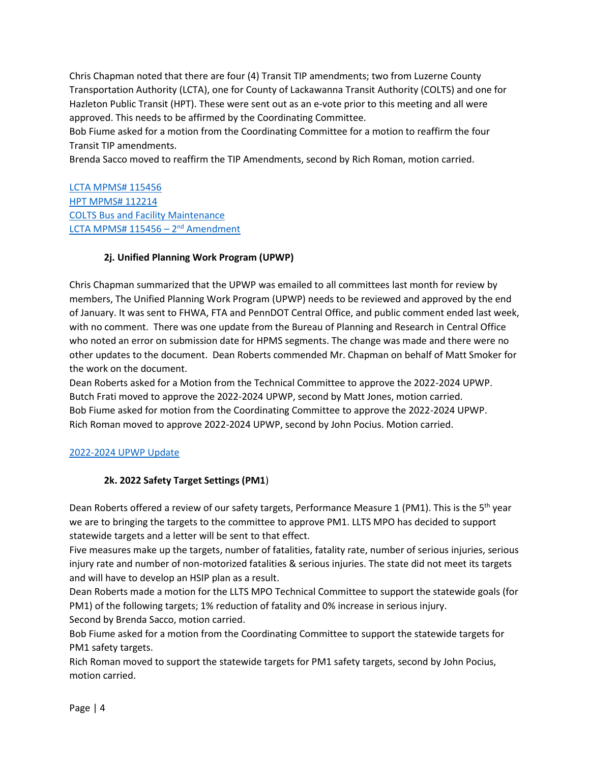Chris Chapman noted that there are four (4) Transit TIP amendments; two from Luzerne County Transportation Authority (LCTA), one for County of Lackawanna Transit Authority (COLTS) and one for Hazleton Public Transit (HPT). These were sent out as an e-vote prior to this meeting and all were approved. This needs to be affirmed by the Coordinating Committee.

Bob Fiume asked for a motion from the Coordinating Committee for a motion to reaffirm the four Transit TIP amendments.

Brenda Sacco moved to reaffirm the TIP Amendments, second by Rich Roman, motion carried.

[LCTA MPMS# 115456](https://www.lltsmpo.com/wp-content/uploads/2022/02/LCTA-12-21-MPMS-115456.pdf) [HPT MPMS# 112214](https://www.lltsmpo.com/wp-content/uploads/2022/02/HPT-MPMS-112214.png) [COLTS Bus and Facility Maintenance](https://www.lltsmpo.com/wp-content/uploads/2022/02/STIP-Revisions-21-22-3rd-Revision.xlsx) <u> [LCTA MPMS# 115456](https://www.lltsmpo.com/wp-content/uploads/2022/02/LLTS-Fiscal-12-29-003-lcta.pdf) – 2<sup>nd</sup> Amendment</u>

# **2j. Unified Planning Work Program (UPWP)**

Chris Chapman summarized that the UPWP was emailed to all committees last month for review by members, The Unified Planning Work Program (UPWP) needs to be reviewed and approved by the end of January. It was sent to FHWA, FTA and PennDOT Central Office, and public comment ended last week, with no comment. There was one update from the Bureau of Planning and Research in Central Office who noted an error on submission date for HPMS segments. The change was made and there were no other updates to the document. Dean Roberts commended Mr. Chapman on behalf of Matt Smoker for the work on the document.

Dean Roberts asked for a Motion from the Technical Committee to approve the 2022-2024 UPWP. Butch Frati moved to approve the 2022-2024 UPWP, second by Matt Jones, motion carried. Bob Fiume asked for motion from the Coordinating Committee to approve the 2022-2024 UPWP. Rich Roman moved to approve 2022-2024 UPWP, second by John Pocius. Motion carried.

# [2022-2024 UPWP Update](https://www.lltsmpo.com/wp-content/uploads/2022/01/2021-LLTS-TIP-Changes-January-2022.pdf)

# **2k. 2022 Safety Target Settings (PM1**)

Dean Roberts offered a review of our safety targets, Performance Measure 1 (PM1). This is the 5<sup>th</sup> year we are to bringing the targets to the committee to approve PM1. LLTS MPO has decided to support statewide targets and a letter will be sent to that effect.

Five measures make up the targets, number of fatalities, fatality rate, number of serious injuries, serious injury rate and number of non-motorized fatalities & serious injuries. The state did not meet its targets and will have to develop an HSIP plan as a result.

Dean Roberts made a motion for the LLTS MPO Technical Committee to support the statewide goals (for PM1) of the following targets; 1% reduction of fatality and 0% increase in serious injury. Second by Brenda Sacco, motion carried.

Bob Fiume asked for a motion from the Coordinating Committee to support the statewide targets for PM1 safety targets.

Rich Roman moved to support the statewide targets for PM1 safety targets, second by John Pocius, motion carried.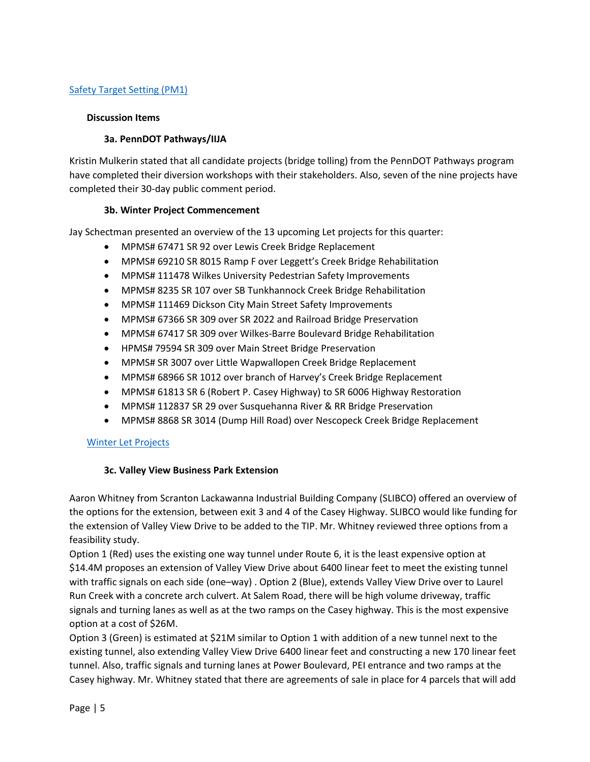# [Safety Target Setting \(PM1\)](https://www.lltsmpo.com/wp-content/uploads/2022/01/Planning-Partner-2022-Safety-Target-Setting-Form-Final.pdf)

#### **Discussion Items**

#### **3a. PennDOT Pathways/IIJA**

Kristin Mulkerin stated that all candidate projects (bridge tolling) from the PennDOT Pathways program have completed their diversion workshops with their stakeholders. Also, seven of the nine projects have completed their 30-day public comment period.

#### **3b. Winter Project Commencement**

Jay Schectman presented an overview of the 13 upcoming Let projects for this quarter:

- MPMS# 67471 SR 92 over Lewis Creek Bridge Replacement
- MPMS# 69210 SR 8015 Ramp F over Leggett's Creek Bridge Rehabilitation
- MPMS# 111478 Wilkes University Pedestrian Safety Improvements
- MPMS# 8235 SR 107 over SB Tunkhannock Creek Bridge Rehabilitation
- MPMS# 111469 Dickson City Main Street Safety Improvements
- MPMS# 67366 SR 309 over SR 2022 and Railroad Bridge Preservation
- MPMS# 67417 SR 309 over Wilkes-Barre Boulevard Bridge Rehabilitation
- HPMS# 79594 SR 309 over Main Street Bridge Preservation
- MPMS# SR 3007 over Little Wapwallopen Creek Bridge Replacement
- MPMS# 68966 SR 1012 over branch of Harvey's Creek Bridge Replacement
- MPMS# 61813 SR 6 (Robert P. Casey Highway) to SR 6006 Highway Restoration
- MPMS# 112837 SR 29 over Susquehanna River & RR Bridge Preservation
- MPMS# 8868 SR 3014 (Dump Hill Road) over Nescopeck Creek Bridge Replacement

#### [Winter Let Projects](https://www.lltsmpo.com/wp-content/uploads/2022/01/LET-projects-MPO-meetng-1-26-22.pdf)

# **3c. Valley View Business Park Extension**

Aaron Whitney from Scranton Lackawanna Industrial Building Company (SLIBCO) offered an overview of the options for the extension, between exit 3 and 4 of the Casey Highway. SLIBCO would like funding for the extension of Valley View Drive to be added to the TIP. Mr. Whitney reviewed three options from a feasibility study.

Option 1 (Red) uses the existing one way tunnel under Route 6, it is the least expensive option at \$14.4M proposes an extension of Valley View Drive about 6400 linear feet to meet the existing tunnel with traffic signals on each side (one–way) . Option 2 (Blue), extends Valley View Drive over to Laurel Run Creek with a concrete arch culvert. At Salem Road, there will be high volume driveway, traffic signals and turning lanes as well as at the two ramps on the Casey highway. This is the most expensive option at a cost of \$26M.

Option 3 (Green) is estimated at \$21M similar to Option 1 with addition of a new tunnel next to the existing tunnel, also extending Valley View Drive 6400 linear feet and constructing a new 170 linear feet tunnel. Also, traffic signals and turning lanes at Power Boulevard, PEI entrance and two ramps at the Casey highway. Mr. Whitney stated that there are agreements of sale in place for 4 parcels that will add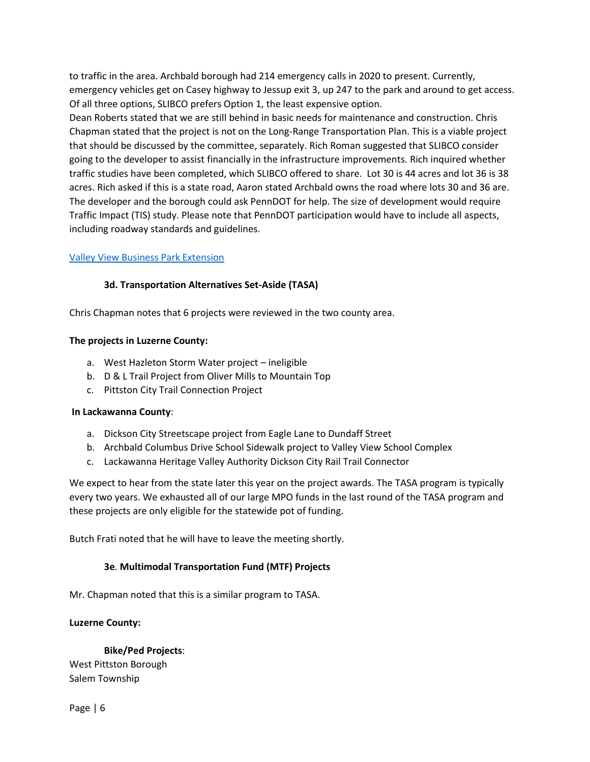to traffic in the area. Archbald borough had 214 emergency calls in 2020 to present. Currently, emergency vehicles get on Casey highway to Jessup exit 3, up 247 to the park and around to get access. Of all three options, SLIBCO prefers Option 1, the least expensive option.

Dean Roberts stated that we are still behind in basic needs for maintenance and construction. Chris Chapman stated that the project is not on the Long-Range Transportation Plan. This is a viable project that should be discussed by the committee, separately. Rich Roman suggested that SLIBCO consider going to the developer to assist financially in the infrastructure improvements. Rich inquired whether traffic studies have been completed, which SLIBCO offered to share. Lot 30 is 44 acres and lot 36 is 38 acres. Rich asked if this is a state road, Aaron stated Archbald owns the road where lots 30 and 36 are. The developer and the borough could ask PennDOT for help. The size of development would require Traffic Impact (TIS) study. Please note that PennDOT participation would have to include all aspects, including roadway standards and guidelines.

## [Valley View Business Park Extension](https://www.lltsmpo.com/wp-content/uploads/2022/01/Valley-View-Extension-scaled.jpg)

## **3d. Transportation Alternatives Set-Aside (TASA)**

Chris Chapman notes that 6 projects were reviewed in the two county area.

#### **The projects in Luzerne County:**

- a. West Hazleton Storm Water project ineligible
- b. D & L Trail Project from Oliver Mills to Mountain Top
- c. Pittston City Trail Connection Project

#### **In Lackawanna County**:

- a. Dickson City Streetscape project from Eagle Lane to Dundaff Street
- b. Archbald Columbus Drive School Sidewalk project to Valley View School Complex
- c. Lackawanna Heritage Valley Authority Dickson City Rail Trail Connector

We expect to hear from the state later this year on the project awards. The TASA program is typically every two years. We exhausted all of our large MPO funds in the last round of the TASA program and these projects are only eligible for the statewide pot of funding.

Butch Frati noted that he will have to leave the meeting shortly.

#### **3e**. **Multimodal Transportation Fund (MTF) Projects**

Mr. Chapman noted that this is a similar program to TASA.

#### **Luzerne County:**

**Bike/Ped Projects**:

West Pittston Borough Salem Township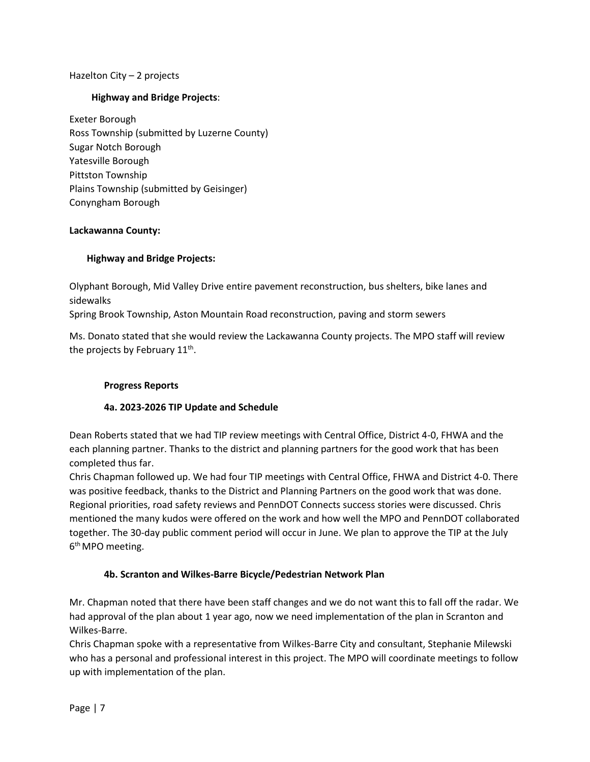## Hazelton City – 2 projects

## **Highway and Bridge Projects**:

Exeter Borough Ross Township (submitted by Luzerne County) Sugar Notch Borough Yatesville Borough Pittston Township Plains Township (submitted by Geisinger) Conyngham Borough

#### **Lackawanna County:**

## **Highway and Bridge Projects:**

Olyphant Borough, Mid Valley Drive entire pavement reconstruction, bus shelters, bike lanes and sidewalks

Spring Brook Township, Aston Mountain Road reconstruction, paving and storm sewers

Ms. Donato stated that she would review the Lackawanna County projects. The MPO staff will review the projects by February 11<sup>th</sup>.

#### **Progress Reports**

# **4a. 2023-2026 TIP Update and Schedule**

Dean Roberts stated that we had TIP review meetings with Central Office, District 4-0, FHWA and the each planning partner. Thanks to the district and planning partners for the good work that has been completed thus far.

Chris Chapman followed up. We had four TIP meetings with Central Office, FHWA and District 4-0. There was positive feedback, thanks to the District and Planning Partners on the good work that was done. Regional priorities, road safety reviews and PennDOT Connects success stories were discussed. Chris mentioned the many kudos were offered on the work and how well the MPO and PennDOT collaborated together. The 30-day public comment period will occur in June. We plan to approve the TIP at the July 6<sup>th</sup> MPO meeting.

#### **4b. Scranton and Wilkes-Barre Bicycle/Pedestrian Network Plan**

Mr. Chapman noted that there have been staff changes and we do not want this to fall off the radar. We had approval of the plan about 1 year ago, now we need implementation of the plan in Scranton and Wilkes-Barre.

Chris Chapman spoke with a representative from Wilkes-Barre City and consultant, Stephanie Milewski who has a personal and professional interest in this project. The MPO will coordinate meetings to follow up with implementation of the plan.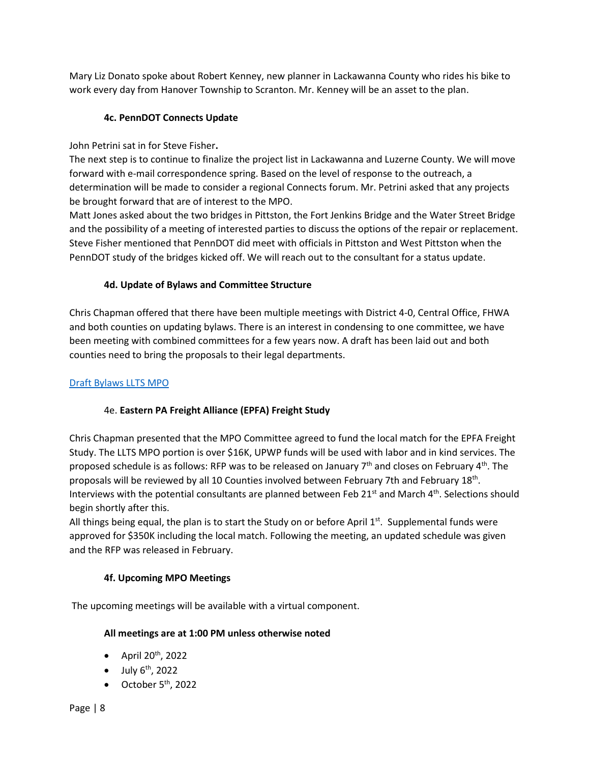Mary Liz Donato spoke about Robert Kenney, new planner in Lackawanna County who rides his bike to work every day from Hanover Township to Scranton. Mr. Kenney will be an asset to the plan.

# **4c. PennDOT Connects Update**

John Petrini sat in for Steve Fisher**.**

The next step is to continue to finalize the project list in Lackawanna and Luzerne County. We will move forward with e-mail correspondence spring. Based on the level of response to the outreach, a determination will be made to consider a regional Connects forum. Mr. Petrini asked that any projects be brought forward that are of interest to the MPO.

Matt Jones asked about the two bridges in Pittston, the Fort Jenkins Bridge and the Water Street Bridge and the possibility of a meeting of interested parties to discuss the options of the repair or replacement. Steve Fisher mentioned that PennDOT did meet with officials in Pittston and West Pittston when the PennDOT study of the bridges kicked off. We will reach out to the consultant for a status update.

# **4d. Update of Bylaws and Committee Structure**

Chris Chapman offered that there have been multiple meetings with District 4-0, Central Office, FHWA and both counties on updating bylaws. There is an interest in condensing to one committee, we have been meeting with combined committees for a few years now. A draft has been laid out and both counties need to bring the proposals to their legal departments.

# [Draft Bylaws LLTS MPO](https://www.lltsmpo.com/wp-content/uploads/2021/09/Bylaws-Draft-meeting-3-updated.pdf)

# 4e. **Eastern PA Freight Alliance (EPFA) Freight Study**

Chris Chapman presented that the MPO Committee agreed to fund the local match for the EPFA Freight Study. The LLTS MPO portion is over \$16K, UPWP funds will be used with labor and in kind services. The proposed schedule is as follows: RFP was to be released on January 7<sup>th</sup> and closes on February 4<sup>th</sup>. The proposals will be reviewed by all 10 Counties involved between February 7th and February 18<sup>th</sup>. Interviews with the potential consultants are planned between Feb 21<sup>st</sup> and March 4<sup>th</sup>. Selections should begin shortly after this.

All things being equal, the plan is to start the Study on or before April  $1<sup>st</sup>$ . Supplemental funds were approved for \$350K including the local match. Following the meeting, an updated schedule was given and the RFP was released in February.

# **4f. Upcoming MPO Meetings**

The upcoming meetings will be available with a virtual component.

# **All meetings are at 1:00 PM unless otherwise noted**

- $\bullet$  April 20<sup>th</sup>, 2022
- $\bullet$  July  $6<sup>th</sup>$ , 2022
- $\bullet$  October 5<sup>th</sup>, 2022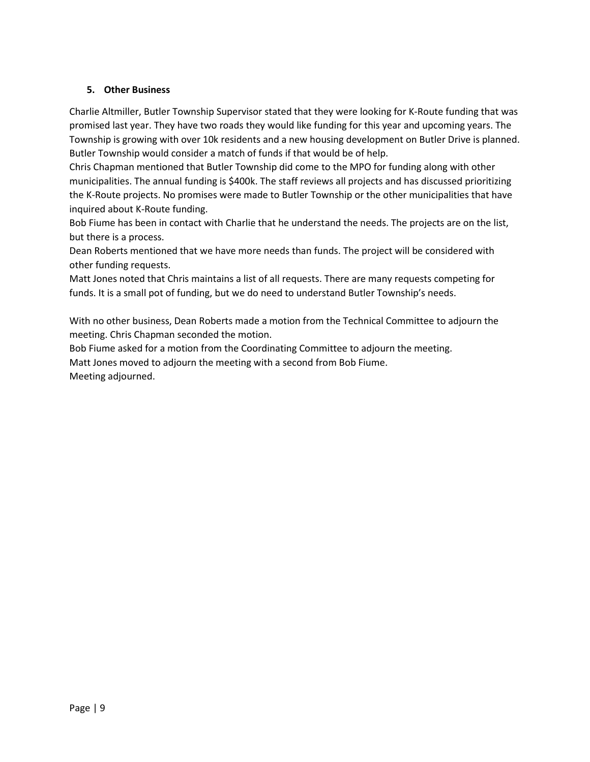# **5. Other Business**

Charlie Altmiller, Butler Township Supervisor stated that they were looking for K-Route funding that was promised last year. They have two roads they would like funding for this year and upcoming years. The Township is growing with over 10k residents and a new housing development on Butler Drive is planned. Butler Township would consider a match of funds if that would be of help.

Chris Chapman mentioned that Butler Township did come to the MPO for funding along with other municipalities. The annual funding is \$400k. The staff reviews all projects and has discussed prioritizing the K-Route projects. No promises were made to Butler Township or the other municipalities that have inquired about K-Route funding.

Bob Fiume has been in contact with Charlie that he understand the needs. The projects are on the list, but there is a process.

Dean Roberts mentioned that we have more needs than funds. The project will be considered with other funding requests.

Matt Jones noted that Chris maintains a list of all requests. There are many requests competing for funds. It is a small pot of funding, but we do need to understand Butler Township's needs.

With no other business, Dean Roberts made a motion from the Technical Committee to adjourn the meeting. Chris Chapman seconded the motion.

Bob Fiume asked for a motion from the Coordinating Committee to adjourn the meeting. Matt Jones moved to adjourn the meeting with a second from Bob Fiume. Meeting adjourned.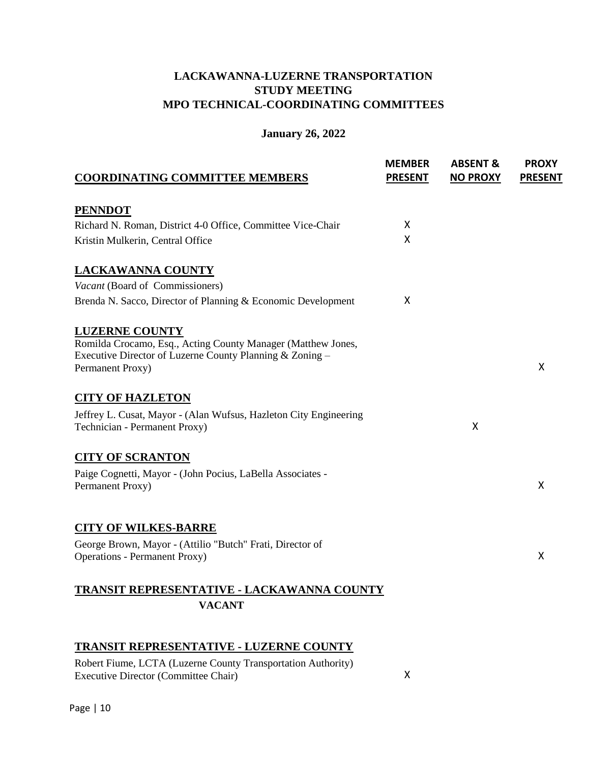# **LACKAWANNA-LUZERNE TRANSPORTATION STUDY MEETING MPO TECHNICAL-COORDINATING COMMITTEES**

# **January 26, 2022**

| <b>COORDINATING COMMITTEE MEMBERS</b>                                                             | <b>MEMBER</b><br><b>PRESENT</b> | <b>ABSENT &amp;</b><br><b>NO PROXY</b> | <b>PROXY</b><br><b>PRESENT</b> |
|---------------------------------------------------------------------------------------------------|---------------------------------|----------------------------------------|--------------------------------|
| <b>PENNDOT</b>                                                                                    |                                 |                                        |                                |
| Richard N. Roman, District 4-0 Office, Committee Vice-Chair                                       | X                               |                                        |                                |
| Kristin Mulkerin, Central Office                                                                  | X                               |                                        |                                |
| <b>LACKAWANNA COUNTY</b>                                                                          |                                 |                                        |                                |
| Vacant (Board of Commissioners)                                                                   |                                 |                                        |                                |
| Brenda N. Sacco, Director of Planning & Economic Development                                      | X                               |                                        |                                |
| <b>LUZERNE COUNTY</b>                                                                             |                                 |                                        |                                |
| Romilda Crocamo, Esq., Acting County Manager (Matthew Jones,                                      |                                 |                                        |                                |
| Executive Director of Luzerne County Planning & Zoning -<br>Permanent Proxy)                      |                                 |                                        | X                              |
|                                                                                                   |                                 |                                        |                                |
| <b>CITY OF HAZLETON</b>                                                                           |                                 |                                        |                                |
| Jeffrey L. Cusat, Mayor - (Alan Wufsus, Hazleton City Engineering                                 |                                 |                                        |                                |
| Technician - Permanent Proxy)                                                                     |                                 | X                                      |                                |
| <b>CITY OF SCRANTON</b>                                                                           |                                 |                                        |                                |
| Paige Cognetti, Mayor - (John Pocius, LaBella Associates -                                        |                                 |                                        |                                |
| Permanent Proxy)                                                                                  |                                 |                                        | X                              |
|                                                                                                   |                                 |                                        |                                |
| <b>CITY OF WILKES-BARRE</b>                                                                       |                                 |                                        |                                |
| George Brown, Mayor - (Attilio "Butch" Frati, Director of<br><b>Operations - Permanent Proxy)</b> |                                 |                                        | X                              |
|                                                                                                   |                                 |                                        |                                |
| TRANSIT REPRESENTATIVE - LACKAWANNA COUNTY                                                        |                                 |                                        |                                |
| <b>VACANT</b>                                                                                     |                                 |                                        |                                |
|                                                                                                   |                                 |                                        |                                |
| <b>TRANSIT REPRESENTATIVE - LUZERNE COUNTY</b>                                                    |                                 |                                        |                                |
| Robert Fiume, LCTA (Luzerne County Transportation Authority)                                      |                                 |                                        |                                |
| <b>Executive Director (Committee Chair)</b>                                                       | X                               |                                        |                                |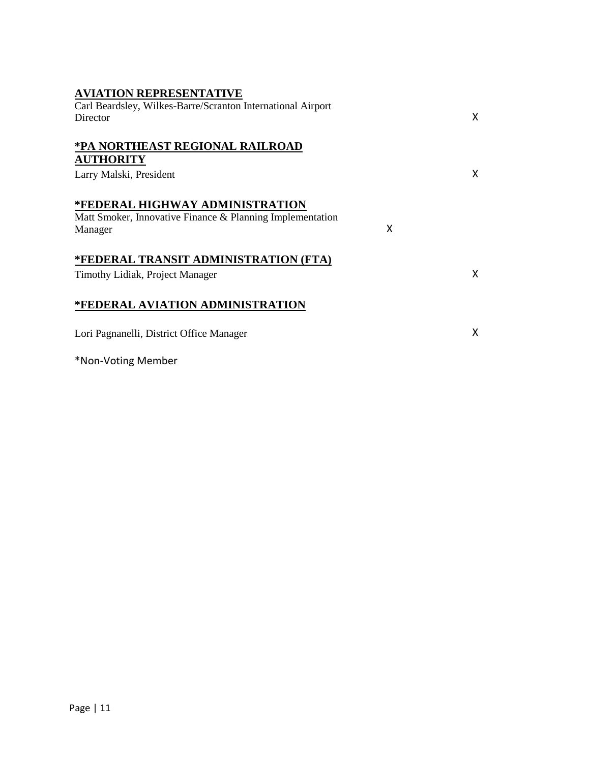| <b>AVIATION REPRESENTATIVE</b>                              |   |   |
|-------------------------------------------------------------|---|---|
| Carl Beardsley, Wilkes-Barre/Scranton International Airport |   |   |
| Director                                                    |   | X |
| *PA NORTHEAST REGIONAL RAILROAD                             |   |   |
| <b>AUTHORITY</b>                                            |   |   |
| Larry Malski, President                                     |   | X |
| *FEDERAL HIGHWAY ADMINISTRATION                             |   |   |
| Matt Smoker, Innovative Finance & Planning Implementation   |   |   |
| Manager                                                     | X |   |
| *FEDERAL TRANSIT ADMINISTRATION (FTA)                       |   |   |
| Timothy Lidiak, Project Manager                             |   | X |
| *FEDERAL AVIATION ADMINISTRATION                            |   |   |
| Lori Pagnanelli, District Office Manager                    |   | X |
| *Non-Voting Member                                          |   |   |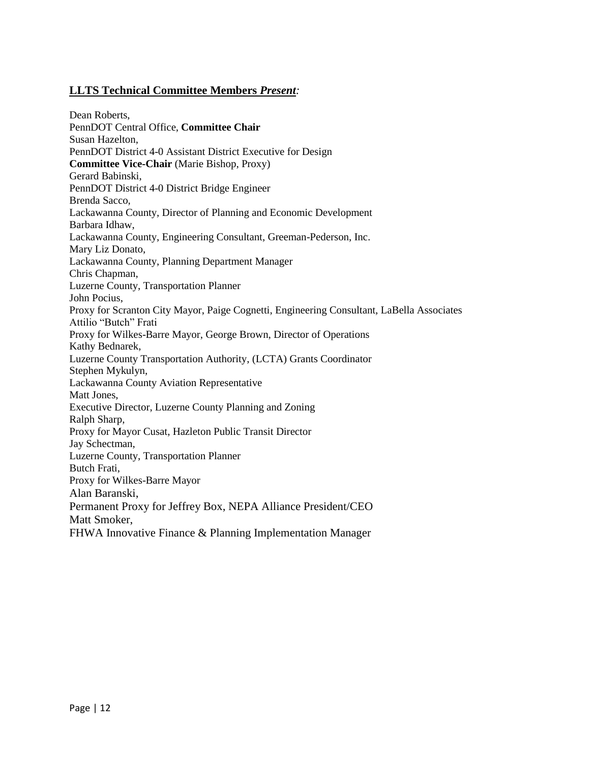# **LLTS Technical Committee Members** *Present:*

Dean Roberts, PennDOT Central Office, **Committee Chair** Susan Hazelton, PennDOT District 4-0 Assistant District Executive for Design **Committee Vice-Chair** (Marie Bishop, Proxy) Gerard Babinski, PennDOT District 4-0 District Bridge Engineer Brenda Sacco, Lackawanna County, Director of Planning and Economic Development Barbara Idhaw, Lackawanna County, Engineering Consultant, Greeman-Pederson, Inc. Mary Liz Donato, Lackawanna County, Planning Department Manager Chris Chapman, Luzerne County, Transportation Planner John Pocius, Proxy for Scranton City Mayor, Paige Cognetti, Engineering Consultant, LaBella Associates Attilio "Butch" Frati Proxy for Wilkes-Barre Mayor, George Brown, Director of Operations Kathy Bednarek, Luzerne County Transportation Authority, (LCTA) Grants Coordinator Stephen Mykulyn, Lackawanna County Aviation Representative Matt Jones, Executive Director, Luzerne County Planning and Zoning Ralph Sharp, Proxy for Mayor Cusat, Hazleton Public Transit Director Jay Schectman, Luzerne County, Transportation Planner Butch Frati, Proxy for Wilkes-Barre Mayor Alan Baranski, Permanent Proxy for Jeffrey Box, NEPA Alliance President/CEO Matt Smoker, FHWA Innovative Finance & Planning Implementation Manager